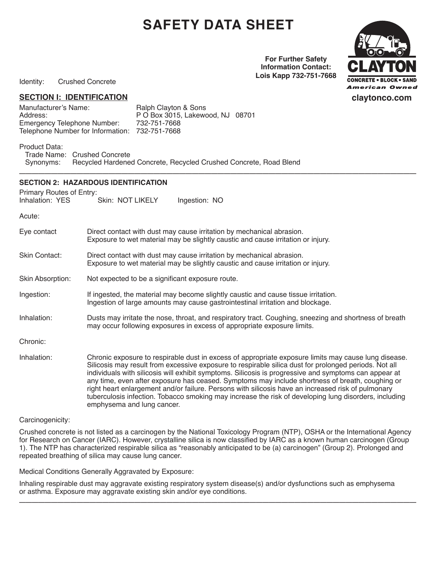# **Safety Data Sheet**

**For Further Safety Information Contact: Lois Kapp 732-751-7668**



Identity: Crushed Concrete

#### **SECTION I: IDENTIFICATION**

Manufacturer's Name: Ralph Clayton & Sons<br>Address: P O Box 3015. Lakewe Emergency Telephone Number: Telephone Number for Information: 732-751-7668

P O Box 3015, Lakewood, NJ 08701<br>732-751-7668

Product Data:

Trade Name: Crushed Concrete<br>Synonyms: Recycled Hardene Recycled Hardened Concrete, Recycled Crushed Concrete, Road Blend **\_\_\_\_\_\_\_\_\_\_\_\_\_\_\_\_\_\_\_\_\_\_\_\_\_\_\_\_\_\_\_\_\_\_\_\_\_\_\_\_\_\_\_\_\_\_\_\_\_\_\_\_\_\_\_\_\_\_\_\_\_\_**

#### **Section 2: HAZARDOUS IDENTIFICATION**

Primary Routes of Entry:

| Inhalation: YES | Skin: NOT LIKELY | Ingestion: NO |
|-----------------|------------------|---------------|
|-----------------|------------------|---------------|

Acute:

| Eye contact      | Direct contact with dust may cause irritation by mechanical abrasion.<br>Exposure to wet material may be slightly caustic and cause irritation or injury.                                                                                                                                                                                                                                                                                                                                                                                                                                                                                                              |
|------------------|------------------------------------------------------------------------------------------------------------------------------------------------------------------------------------------------------------------------------------------------------------------------------------------------------------------------------------------------------------------------------------------------------------------------------------------------------------------------------------------------------------------------------------------------------------------------------------------------------------------------------------------------------------------------|
| Skin Contact:    | Direct contact with dust may cause irritation by mechanical abrasion.<br>Exposure to wet material may be slightly caustic and cause irritation or injury.                                                                                                                                                                                                                                                                                                                                                                                                                                                                                                              |
| Skin Absorption: | Not expected to be a significant exposure route.                                                                                                                                                                                                                                                                                                                                                                                                                                                                                                                                                                                                                       |
| Ingestion:       | If ingested, the material may become slightly caustic and cause tissue irritation.<br>Ingestion of large amounts may cause gastrointestinal irritation and blockage.                                                                                                                                                                                                                                                                                                                                                                                                                                                                                                   |
| Inhalation:      | Dusts may irritate the nose, throat, and respiratory tract. Coughing, sneezing and shortness of breath<br>may occur following exposures in excess of appropriate exposure limits.                                                                                                                                                                                                                                                                                                                                                                                                                                                                                      |
| Chronic:         |                                                                                                                                                                                                                                                                                                                                                                                                                                                                                                                                                                                                                                                                        |
| Inhalation:      | Chronic exposure to respirable dust in excess of appropriate exposure limits may cause lung disease.<br>Silicosis may result from excessive exposure to respirable silica dust for prolonged periods. Not all<br>individuals with silicosis will exhibit symptoms. Silicosis is progressive and symptoms can appear at<br>any time, even after exposure has ceased. Symptoms may include shortness of breath, coughing or<br>right heart enlargement and/or failure. Persons with silicosis have an increased risk of pulmonary<br>tuberculosis infection. Tobacco smoking may increase the risk of developing lung disorders, including<br>emphysema and lung cancer. |

#### Carcinogenicity:

Crushed concrete is not listed as a carcinogen by the National Toxicology Program (NTP), OSHA or the International Agency for Research on Cancer (IARC). However, crystalline silica is now classified by IARC as a known human carcinogen (Group 1). The NTP has characterized respirable silica as "reasonably anticipated to be (a) carcinogen" (Group 2). Prolonged and repeated breathing of silica may cause lung cancer.

Medical Conditions Generally Aggravated by Exposure:

Inhaling respirable dust may aggravate existing respiratory system disease(s) and/or dysfunctions such as emphysema or asthma. Exposure may aggravate existing skin and/or eye conditions. **\_\_\_\_\_\_\_\_\_\_\_\_\_\_\_\_\_\_\_\_\_\_\_\_\_\_\_\_\_\_\_\_\_\_\_\_\_\_\_\_\_\_\_\_\_\_\_\_\_\_\_\_\_\_\_\_\_\_\_\_\_\_**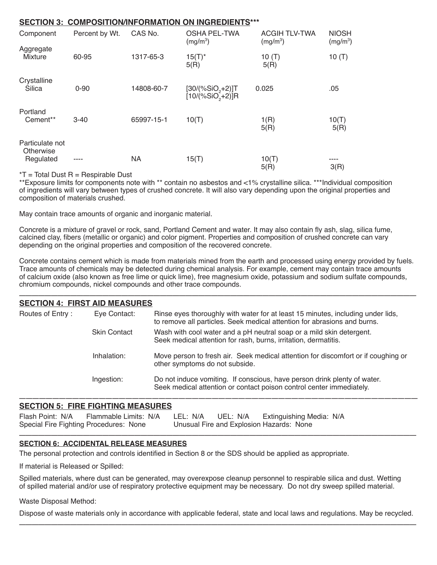#### **Section 3: Composition/Information on Ingredients\*\*\***

| Component                                 | Percent by Wt. | CAS No.    | <b>OSHA PEL-TWA</b><br>(mg/m <sup>3</sup> ) | <b>ACGIH TLV-TWA</b><br>(mg/m <sup>3</sup> ) | <b>NIOSH</b><br>(mg/m <sup>3</sup> ) |
|-------------------------------------------|----------------|------------|---------------------------------------------|----------------------------------------------|--------------------------------------|
| Aggregate<br><b>Mixture</b>               | 60-95          | 1317-65-3  | $15(T)^*$<br>5(R)                           | 10 $(T)$<br>5(R)                             | 10 $(T)$                             |
| Crystalline<br>Silica                     | $0 - 90$       | 14808-60-7 | $[30/(%SiO, +2)]$ T<br>$[10/(%SiO2+2)]R$    | 0.025                                        | .05                                  |
| Portland<br>Cement**                      | $3 - 40$       | 65997-15-1 | 10(T)                                       | 1(R)<br>5(R)                                 | 10(T)<br>5(R)                        |
| Particulate not<br>Otherwise<br>Regulated | ----           | <b>NA</b>  | 15(T)                                       | 10(T)<br>5(R)                                | ----<br>3(R)                         |

 $*T$  = Total Dust R = Respirable Dust

\*\*Exposure limits for components note with \*\* contain no asbestos and <1% crystalline silica. \*\*\*Individual composition of ingredients will vary between types of crushed concrete. It will also vary depending upon the original properties and composition of materials crushed.

May contain trace amounts of organic and inorganic material.

Concrete is a mixture of gravel or rock, sand, Portland Cement and water. It may also contain fly ash, slag, silica fume, calcined clay, fibers (metallic or organic) and color pigment. Properties and composition of crushed concrete can vary depending on the original properties and composition of the recovered concrete.

Concrete contains cement which is made from materials mined from the earth and processed using energy provided by fuels. Trace amounts of chemicals may be detected during chemical analysis. For example, cement may contain trace amounts of calcium oxide (also known as free lime or quick lime), free magnesium oxide, potassium and sodium sulfate compounds, chromium compounds, nickel compounds and other trace compounds. **\_\_\_\_\_\_\_\_\_\_\_\_\_\_\_\_\_\_\_\_\_\_\_\_\_\_\_\_\_\_\_\_\_\_\_\_\_\_\_\_\_\_\_\_\_\_\_\_\_\_\_\_\_\_\_\_\_\_\_\_\_\_**

| <b>SECTION 4: FIRST AID MEASURES</b> |                     |                                                                                                                                                             |
|--------------------------------------|---------------------|-------------------------------------------------------------------------------------------------------------------------------------------------------------|
| Routes of Entry:                     | Eye Contact:        | Rinse eyes thoroughly with water for at least 15 minutes, including under lids,<br>to remove all particles. Seek medical attention for abrasions and burns. |
|                                      | <b>Skin Contact</b> | Wash with cool water and a pH neutral soap or a mild skin detergent.<br>Seek medical attention for rash, burns, irritation, dermatitis.                     |
|                                      | Inhalation:         | Move person to fresh air. Seek medical attention for discomfort or if coughing or<br>other symptoms do not subside.                                         |
|                                      | Ingestion:          | Do not induce vomiting. If conscious, have person drink plenty of water.<br>Seek medical attention or contact poison control center immediately.            |
|                                      |                     |                                                                                                                                                             |

#### **Section 5: Fire Fighting Measures**

| Flash Point: N/A Flammable Limits: N/A LEL: N/A UEL: N/A Extinguishing Media: N/A |  |                                          |  |
|-----------------------------------------------------------------------------------|--|------------------------------------------|--|
| Special Fire Fighting Procedures: None                                            |  | Unusual Fire and Explosion Hazards: None |  |
|                                                                                   |  |                                          |  |

#### **Section 6: Accidental Release Measures**

The personal protection and controls identified in Section 8 or the SDS should be applied as appropriate.

If material is Released or Spilled:

Spilled materials, where dust can be generated, may overexpose cleanup personnel to respirable silica and dust. Wetting of spilled material and/or use of respiratory protective equipment may be necessary. Do not dry sweep spilled material.

Waste Disposal Method:

Dispose of waste materials only in accordance with applicable federal, state and local laws and regulations. May be recycled. **\_\_\_\_\_\_\_\_\_\_\_\_\_\_\_\_\_\_\_\_\_\_\_\_\_\_\_\_\_\_\_\_\_\_\_\_\_\_\_\_\_\_\_\_\_\_\_\_\_\_\_\_\_\_\_\_\_\_\_\_\_\_**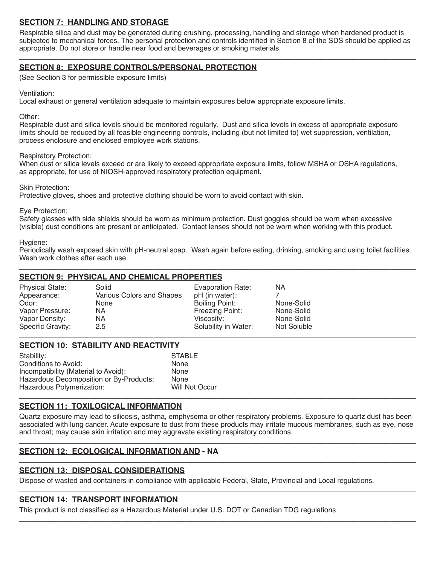# **Section 7: Handling and Storage**

Respirable silica and dust may be generated during crushing, processing, handling and storage when hardened product is subjected to mechanical forces. The personal protection and controls identified in Section 8 of the SDS should be applied as appropriate. Do not store or handle near food and beverages or smoking materials. **\_\_\_\_\_\_\_\_\_\_\_\_\_\_\_\_\_\_\_\_\_\_\_\_\_\_\_\_\_\_\_\_\_\_\_\_\_\_\_\_\_\_\_\_\_\_\_\_\_\_\_\_\_\_\_\_\_\_\_\_\_\_**

## **Section 8: Exposure Controls/Personal Protection**

(See Section 3 for permissible exposure limits)

Ventilation:

Local exhaust or general ventilation adequate to maintain exposures below appropriate exposure limits.

Other:

Respirable dust and silica levels should be monitored regularly. Dust and silica levels in excess of appropriate exposure limits should be reduced by all feasible engineering controls, including (but not limited to) wet suppression, ventilation, process enclosure and enclosed employee work stations.

Respiratory Protection:

When dust or silica levels exceed or are likely to exceed appropriate exposure limits, follow MSHA or OSHA regulations, as appropriate, for use of NIOSH-approved respiratory protection equipment.

Skin Protection:

Protective gloves, shoes and protective clothing should be worn to avoid contact with skin.

Eye Protection:

Safety glasses with side shields should be worn as minimum protection. Dust goggles should be worn when excessive (visible) dust conditions are present or anticipated. Contact lenses should not be worn when working with this product.

#### Hygiene:

Periodically wash exposed skin with pH-neutral soap. Wash again before eating, drinking, smoking and using toilet facilities. Wash work clothes after each use. **\_\_\_\_\_\_\_\_\_\_\_\_\_\_\_\_\_\_\_\_\_\_\_\_\_\_\_\_\_\_\_\_\_\_\_\_\_\_\_\_\_\_\_\_\_\_\_\_\_\_\_\_\_\_\_\_\_\_\_\_\_\_**

# **Section 9: Physical and Chemical Properties**

| <b>Physical State:</b> | Solid                     | Evaporation Rate:    | ΝA          |
|------------------------|---------------------------|----------------------|-------------|
| Appearance:            | Various Colors and Shapes | pH (in water):       |             |
| Odor:                  | None                      | Boiling Point:       | None-Solid  |
| Vapor Pressure:        | NA                        | Freezing Point:      | None-Solid  |
| Vapor Density:         | NA                        | Viscosity:           | None-Solid  |
| Specific Gravity:      | 2.5                       | Solubility in Water: | Not Soluble |
|                        |                           |                      |             |

#### **Section 10: Stability and Reactivity**

| Stability:                              | <b>STABLE</b>  |
|-----------------------------------------|----------------|
| Conditions to Avoid:                    | None           |
| Incompatibility (Material to Avoid):    | None           |
| Hazardous Decomposition or By-Products: | None           |
| Hazardous Polymerization:               | Will Not Occur |
|                                         |                |

#### **Section 11: Toxilogical Information**

Quartz exposure may lead to silicosis, asthma, emphysema or other respiratory problems. Exposure to quartz dust has been associated with lung cancer. Acute exposure to dust from these products may irritate mucous membranes, such as eye, nose and throat; may cause skin irritation and may aggravate existing respiratory conditions. **\_\_\_\_\_\_\_\_\_\_\_\_\_\_\_\_\_\_\_\_\_\_\_\_\_\_\_\_\_\_\_\_\_\_\_\_\_\_\_\_\_\_\_\_\_\_\_\_\_\_\_\_\_\_\_\_\_\_\_\_\_\_**

## **Section 12: Ecological Information and - NA \_\_\_\_\_\_\_\_\_\_\_\_\_\_\_\_\_\_\_\_\_\_\_\_\_\_\_\_\_\_\_\_\_\_\_\_\_\_\_\_\_\_\_\_\_\_\_\_\_\_\_\_\_\_\_\_\_\_\_\_\_\_**

# **Section 13: Disposal Considerations**

Dispose of wasted and containers in compliance with applicable Federal, State, Provincial and Local regulations. **\_\_\_\_\_\_\_\_\_\_\_\_\_\_\_\_\_\_\_\_\_\_\_\_\_\_\_\_\_\_\_\_\_\_\_\_\_\_\_\_\_\_\_\_\_\_\_\_\_\_\_\_\_\_\_\_\_\_\_\_\_\_**

# **Section 14: Transport Information**

This product is not classified as a Hazardous Material under U.S. DOT or Canadian TDG regulations **\_\_\_\_\_\_\_\_\_\_\_\_\_\_\_\_\_\_\_\_\_\_\_\_\_\_\_\_\_\_\_\_\_\_\_\_\_\_\_\_\_\_\_\_\_\_\_\_\_\_\_\_\_\_\_\_\_\_\_\_\_\_**